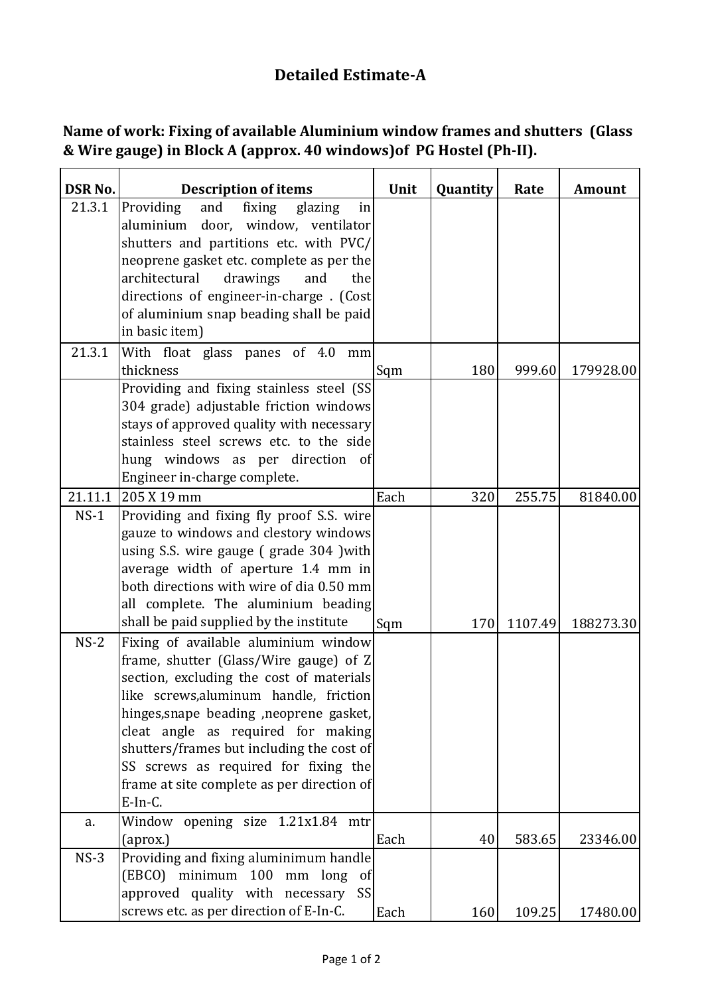## **Detailed Estimate-A**

| Name of work: Fixing of available Aluminium window frames and shutters (Glass |  |
|-------------------------------------------------------------------------------|--|
| & Wire gauge) in Block A (approx. 40 windows) of PG Hostel (Ph-II).           |  |

| <b>DSR No.</b> | <b>Description of items</b>                                                                                                                                                                                                                                                                                                                                                                            | Unit | <b>Quantity</b> | Rate    | <b>Amount</b> |
|----------------|--------------------------------------------------------------------------------------------------------------------------------------------------------------------------------------------------------------------------------------------------------------------------------------------------------------------------------------------------------------------------------------------------------|------|-----------------|---------|---------------|
| 21.3.1         | Providing<br>fixing<br>and<br>glazing<br>in<br>aluminium door, window, ventilator<br>shutters and partitions etc. with PVC/<br>neoprene gasket etc. complete as per the<br>architectural<br>drawings<br>and<br>the<br>directions of engineer-in-charge . (Cost                                                                                                                                         |      |                 |         |               |
|                | of aluminium snap beading shall be paid<br>in basic item)                                                                                                                                                                                                                                                                                                                                              |      |                 |         |               |
| 21.3.1         | With float glass panes of 4.0 mm<br>thickness<br>Providing and fixing stainless steel (SS                                                                                                                                                                                                                                                                                                              | Sqm  | 180             | 999.60  | 179928.00     |
|                | 304 grade) adjustable friction windows<br>stays of approved quality with necessary<br>stainless steel screws etc. to the side<br>hung windows as per direction of<br>Engineer in-charge complete.                                                                                                                                                                                                      |      |                 |         |               |
| 21.11.1        | 205 X 19 mm                                                                                                                                                                                                                                                                                                                                                                                            | Each | 320             | 255.75  | 81840.00      |
| $NS-1$         | Providing and fixing fly proof S.S. wire<br>gauze to windows and clestory windows<br>using S.S. wire gauge (grade 304 ) with<br>average width of aperture 1.4 mm in<br>both directions with wire of dia 0.50 mm<br>all complete. The aluminium beading<br>shall be paid supplied by the institute                                                                                                      | Sqm  | 170             | 1107.49 | 188273.30     |
| $NS-2$         | Fixing of available aluminium window<br>frame, shutter (Glass/Wire gauge) of Z<br>section, excluding the cost of materials<br>like screws, aluminum handle, friction<br>hinges, snape beading , neoprene gasket,<br>cleat angle as required for making<br>shutters/frames but including the cost of<br>SS screws as required for fixing the<br>frame at site complete as per direction of<br>$E-In-C.$ |      |                 |         |               |
| a.             | Window opening size 1.21x1.84 mtr<br>(aprox.)                                                                                                                                                                                                                                                                                                                                                          | Each | 40              | 583.65  | 23346.00      |
| $NS-3$         | Providing and fixing aluminimum handle<br>(EBCO) minimum 100 mm long<br>of<br>approved quality with necessary SS<br>screws etc. as per direction of E-In-C.                                                                                                                                                                                                                                            | Each | 160             | 109.25  | 17480.00      |